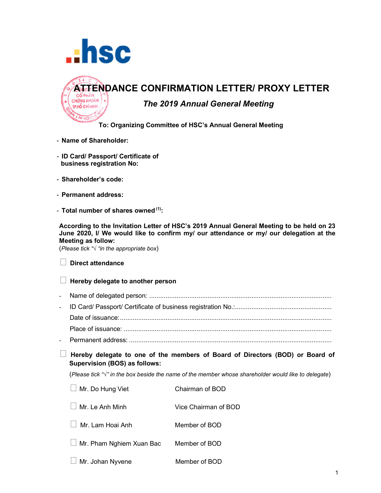



## **To: Organizing Committee of HSC's Annual General Meeting**

- **Name of Shareholder:**
- **ID Card/ Passport/ Certificate of business registration No:**
- **Shareholder's code:**
- **Permanent address:**
- **Total number of shares owned (1):**

**According to the Invitation Letter of HSC's 2019 Annual General Meeting to be held on 23 June 2020, I/ We would like to confirm my/ our attendance or my/ our delegation at the Meeting as follow:**

(*Please tick "√ "in the appropriate box*)

|  | $\Box$ Direct attendance |
|--|--------------------------|
|--|--------------------------|

## **Hereby delegate to another person**

- Name of delegated person: .................................................................................................... - ID Card/ Passport/ Certificate of business registration No.:.....................................................
- Date of issuance:.................................................................................................................... Place of issuance: ..................................................................................................................
- Permanent address: ...............................................................................................................
- **Hereby delegate to one of the members of Board of Directors (BOD) or Board of Supervision (BOS) as follows:**

(*Please tick "√" in the box beside the name of the member whose shareholder would like to delegate*)

| $\Box$ Mr. Do Hung Viet         | Chairman of BOD      |  |
|---------------------------------|----------------------|--|
| Mr. Le Anh Minh                 | Vice Chairman of BOD |  |
| Mr. Lam Hoai Anh                | Member of BOD        |  |
| $\Box$ Mr. Pham Nghiem Xuan Bac | Member of BOD        |  |
| $\Box$ Mr. Johan Nyvene         | Member of BOD        |  |